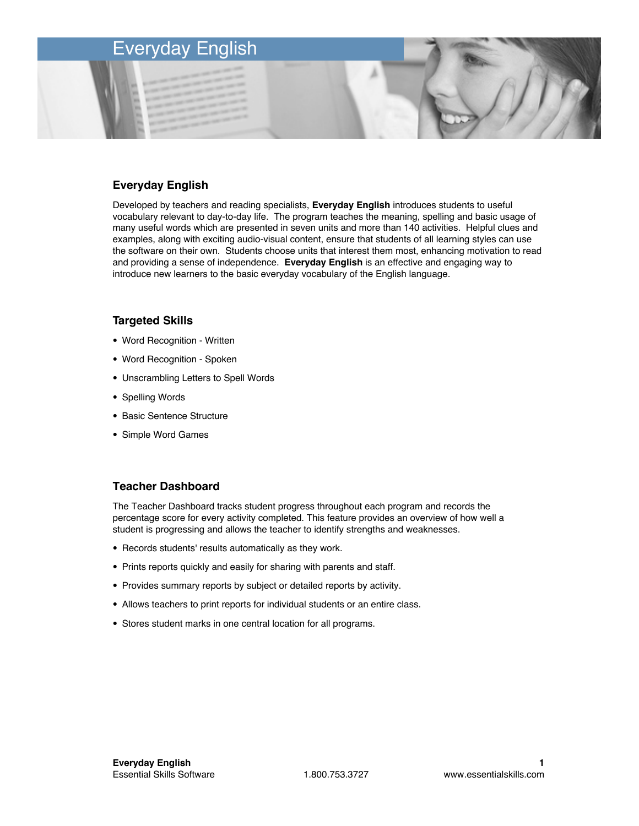## **Everyday English**

Developed by teachers and reading specialists, **Everyday English** introduces students to useful vocabulary relevant to day-to-day life. The program teaches the meaning, spelling and basic usage of many useful words which are presented in seven units and more than 140 activities. Helpful clues and examples, along with exciting audio-visual content, ensure that students of all learning styles can use the software on their own. Students choose units that interest them most, enhancing motivation to read and providing a sense of independence. **Everyday English** is an effective and engaging way to introduce new learners to the basic everyday vocabulary of the English language.

#### **Targeted Skills**

- Word Recognition Written
- Word Recognition Spoken
- Unscrambling Letters to Spell Words
- Spelling Words
- Basic Sentence Structure
- Simple Word Games

#### **Teacher Dashboard**

The Teacher Dashboard tracks student progress throughout each program and records the percentage score for every activity completed. This feature provides an overview of how well a student is progressing and allows the teacher to identify strengths and weaknesses.

- Records students' results automatically as they work.
- Prints reports quickly and easily for sharing with parents and staff.
- Provides summary reports by subject or detailed reports by activity.
- Allows teachers to print reports for individual students or an entire class.
- Stores student marks in one central location for all programs.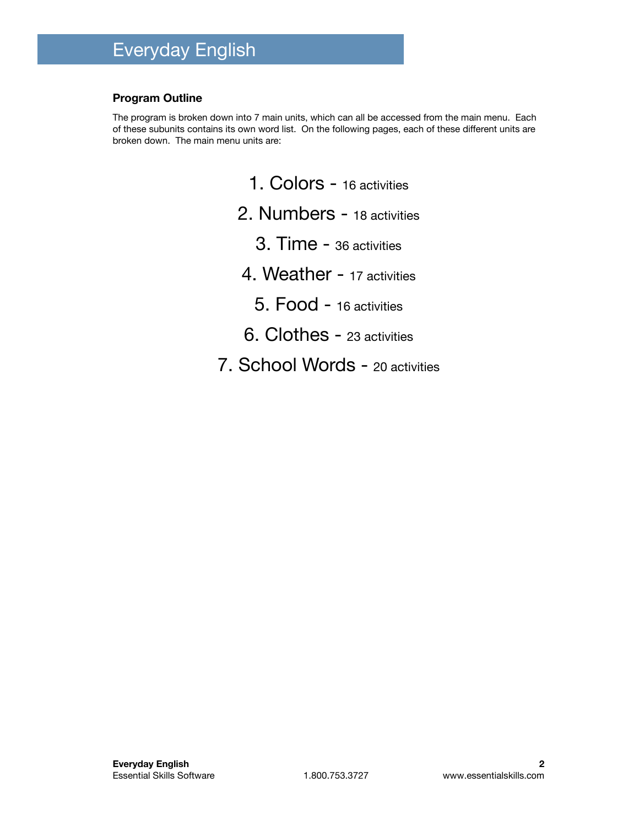### **Program Outline**

The program is broken down into 7 main units, which can all be accessed from the main menu. Each of these subunits contains its own word list. On the following pages, each of these different units are broken down. The main menu units are:

- 1. Colors 16 activities
- 2. Numbers 18 activities
	- 3. Time 36 activities
- 4. Weather 17 activities
	- 5. Food 16 activities
- 6. Clothes 23 activities
- 7. School Words 20 activities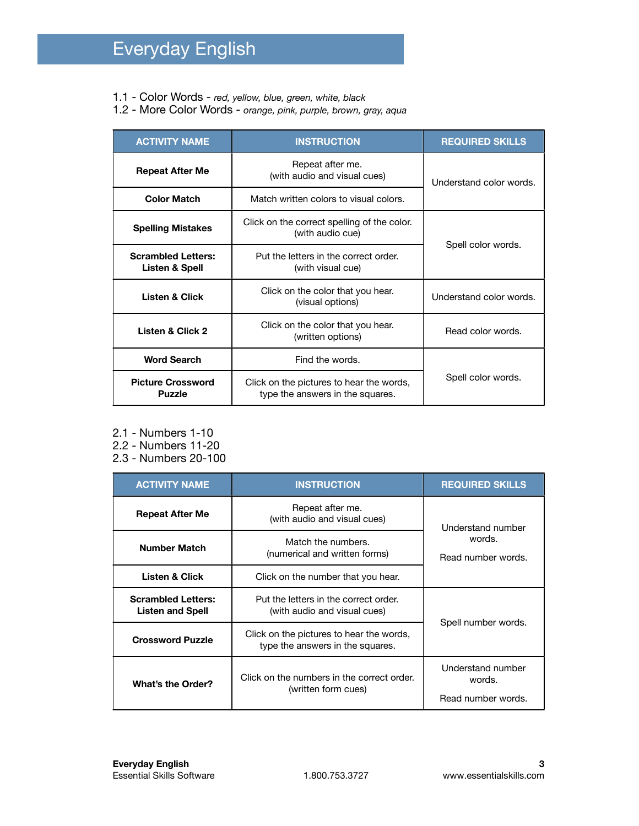- 1.1 Color Words *red, yellow, blue, green, white, black*
- 1.2 More Color Words *orange, pink, purple, brown, gray, aqua*

| <b>ACTIVITY NAME</b>                        | <b>INSTRUCTION</b>                                                           | <b>REQUIRED SKILLS</b>  |
|---------------------------------------------|------------------------------------------------------------------------------|-------------------------|
| <b>Repeat After Me</b>                      | Repeat after me.<br>(with audio and visual cues)                             | Understand color words. |
| <b>Color Match</b>                          | Match written colors to visual colors.                                       |                         |
| <b>Spelling Mistakes</b>                    | Click on the correct spelling of the color.<br>(with audio cue)              | Spell color words.      |
| <b>Scrambled Letters:</b><br>Listen & Spell | Put the letters in the correct order.<br>(with visual cue)                   |                         |
| <b>Listen &amp; Click</b>                   | Click on the color that you hear.<br>(visual options)                        | Understand color words. |
| Listen & Click 2                            | Click on the color that you hear.<br>(written options)                       | Read color words.       |
| <b>Word Search</b>                          | Find the words.                                                              |                         |
| <b>Picture Crossword</b><br><b>Puzzle</b>   | Click on the pictures to hear the words,<br>type the answers in the squares. | Spell color words.      |

- 2.1 Numbers 1-10
- 2.2 Numbers 11-20
- 2.3 Numbers 20-100

| <b>ACTIVITY NAME</b>                                 | <b>INSTRUCTION</b>                                                           | <b>REQUIRED SKILLS</b>                            |
|------------------------------------------------------|------------------------------------------------------------------------------|---------------------------------------------------|
| <b>Repeat After Me</b>                               | Repeat after me.<br>(with audio and visual cues)                             | Understand number<br>words.<br>Read number words. |
| <b>Number Match</b>                                  | Match the numbers.<br>(numerical and written forms)                          |                                                   |
| <b>Listen &amp; Click</b>                            | Click on the number that you hear.                                           |                                                   |
| <b>Scrambled Letters:</b><br><b>Listen and Spell</b> | Put the letters in the correct order.<br>(with audio and visual cues)        |                                                   |
| <b>Crossword Puzzle</b>                              | Click on the pictures to hear the words,<br>type the answers in the squares. | Spell number words.                               |
| <b>What's the Order?</b>                             | Click on the numbers in the correct order.<br>(written form cues)            | Understand number<br>words.<br>Read number words. |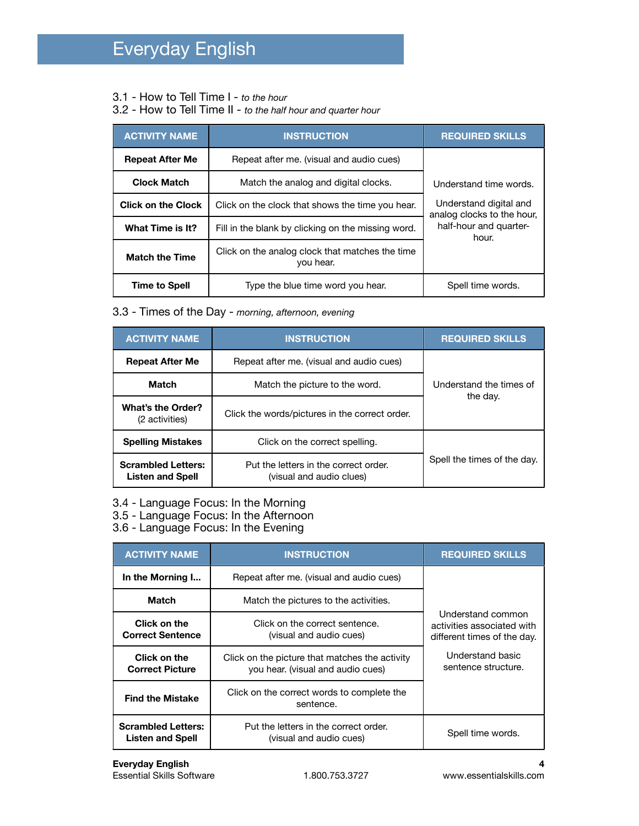- 3.1 How to Tell Time I *to the hour*
- 3.2 How to Tell Time II *to the half hour and quarter hour*

| <b>ACTIVITY NAME</b>      | <b>INSTRUCTION</b>                                           | <b>REQUIRED SKILLS</b>                               |
|---------------------------|--------------------------------------------------------------|------------------------------------------------------|
| <b>Repeat After Me</b>    | Repeat after me. (visual and audio cues)                     |                                                      |
| <b>Clock Match</b>        | Match the analog and digital clocks.                         | Understand time words.                               |
| <b>Click on the Clock</b> | Click on the clock that shows the time you hear.             | Understand digital and<br>analog clocks to the hour, |
| What Time is It?          | Fill in the blank by clicking on the missing word.           | half-hour and quarter-<br>hour.                      |
| <b>Match the Time</b>     | Click on the analog clock that matches the time<br>you hear. |                                                      |
| <b>Time to Spell</b>      | Type the blue time word you hear.                            | Spell time words.                                    |

3.3 - Times of the Day - *morning, afternoon, evening*

| <b>ACTIVITY NAME</b>                                 | <b>INSTRUCTION</b>                                                | <b>REQUIRED SKILLS</b>      |
|------------------------------------------------------|-------------------------------------------------------------------|-----------------------------|
| <b>Repeat After Me</b>                               | Repeat after me. (visual and audio cues)                          |                             |
| <b>Match</b>                                         | Match the picture to the word.                                    | Understand the times of     |
| <b>What's the Order?</b><br>(2 activities)           | Click the words/pictures in the correct order.                    | the day.                    |
| <b>Spelling Mistakes</b>                             | Click on the correct spelling.                                    |                             |
| <b>Scrambled Letters:</b><br><b>Listen and Spell</b> | Put the letters in the correct order.<br>(visual and audio clues) | Spell the times of the day. |

- 3.4 Language Focus: In the Morning
- 3.5 Language Focus: In the Afternoon
- 3.6 Language Focus: In the Evening

| <b>ACTIVITY NAME</b>                                 | <b>INSTRUCTION</b>                                                                  | <b>REQUIRED SKILLS</b>                                                         |
|------------------------------------------------------|-------------------------------------------------------------------------------------|--------------------------------------------------------------------------------|
| In the Morning I                                     | Repeat after me. (visual and audio cues)                                            |                                                                                |
| Match                                                | Match the pictures to the activities.                                               |                                                                                |
| Click on the<br><b>Correct Sentence</b>              | Click on the correct sentence.<br>(visual and audio cues)                           | Understand common<br>activities associated with<br>different times of the day. |
| Click on the<br><b>Correct Picture</b>               | Click on the picture that matches the activity<br>you hear. (visual and audio cues) | Understand basic<br>sentence structure.                                        |
| <b>Find the Mistake</b>                              | Click on the correct words to complete the<br>sentence.                             |                                                                                |
| <b>Scrambled Letters:</b><br><b>Listen and Spell</b> | Put the letters in the correct order.<br>(visual and audio cues)                    | Spell time words.                                                              |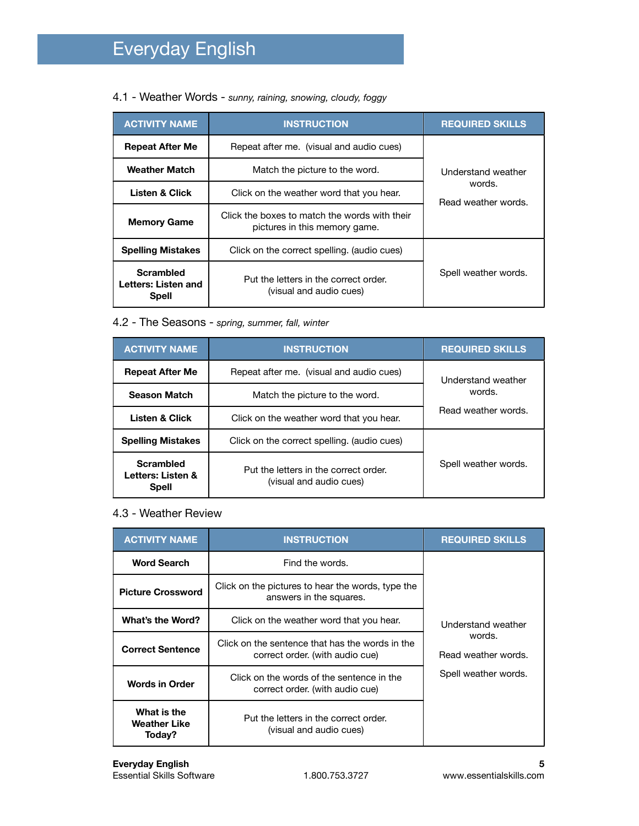4.1 - Weather Words - *sunny, raining, snowing, cloudy, foggy*

| <b>ACTIVITY NAME</b>                                    | <b>INSTRUCTION</b>                                                             | <b>REQUIRED SKILLS</b>                              |
|---------------------------------------------------------|--------------------------------------------------------------------------------|-----------------------------------------------------|
| <b>Repeat After Me</b>                                  | Repeat after me. (visual and audio cues)                                       |                                                     |
| <b>Weather Match</b>                                    | Match the picture to the word.                                                 | Understand weather<br>words.<br>Read weather words. |
| <b>Listen &amp; Click</b>                               | Click on the weather word that you hear.                                       |                                                     |
| <b>Memory Game</b>                                      | Click the boxes to match the words with their<br>pictures in this memory game. |                                                     |
| <b>Spelling Mistakes</b>                                | Click on the correct spelling. (audio cues)                                    |                                                     |
| <b>Scrambled</b><br>Letters: Listen and<br><b>Spell</b> | Put the letters in the correct order.<br>(visual and audio cues)               | Spell weather words.                                |

## 4.2 - The Seasons - *spring, summer, fall, winter*

| <b>ACTIVITY NAME</b>                                  | <b>INSTRUCTION</b>                                               | <b>REQUIRED SKILLS</b>                              |
|-------------------------------------------------------|------------------------------------------------------------------|-----------------------------------------------------|
| <b>Repeat After Me</b>                                | Repeat after me. (visual and audio cues)                         | Understand weather<br>words.<br>Read weather words. |
| <b>Season Match</b>                                   | Match the picture to the word.                                   |                                                     |
| <b>Listen &amp; Click</b>                             | Click on the weather word that you hear.                         |                                                     |
| <b>Spelling Mistakes</b>                              | Click on the correct spelling. (audio cues)                      |                                                     |
| <b>Scrambled</b><br>Letters: Listen &<br><b>Spell</b> | Put the letters in the correct order.<br>(visual and audio cues) | Spell weather words.                                |

## 4.3 - Weather Review

| <b>ACTIVITY NAME</b>                         | <b>INSTRUCTION</b>                                                                 | <b>REQUIRED SKILLS</b>                                                      |
|----------------------------------------------|------------------------------------------------------------------------------------|-----------------------------------------------------------------------------|
| <b>Word Search</b>                           | Find the words.                                                                    | Understand weather<br>words.<br>Read weather words.<br>Spell weather words. |
| <b>Picture Crossword</b>                     | Click on the pictures to hear the words, type the<br>answers in the squares.       |                                                                             |
| What's the Word?                             | Click on the weather word that you hear.                                           |                                                                             |
| <b>Correct Sentence</b>                      | Click on the sentence that has the words in the<br>correct order. (with audio cue) |                                                                             |
| <b>Words in Order</b>                        | Click on the words of the sentence in the<br>correct order. (with audio cue)       |                                                                             |
| What is the<br><b>Weather Like</b><br>Today? | Put the letters in the correct order.<br>(visual and audio cues)                   |                                                                             |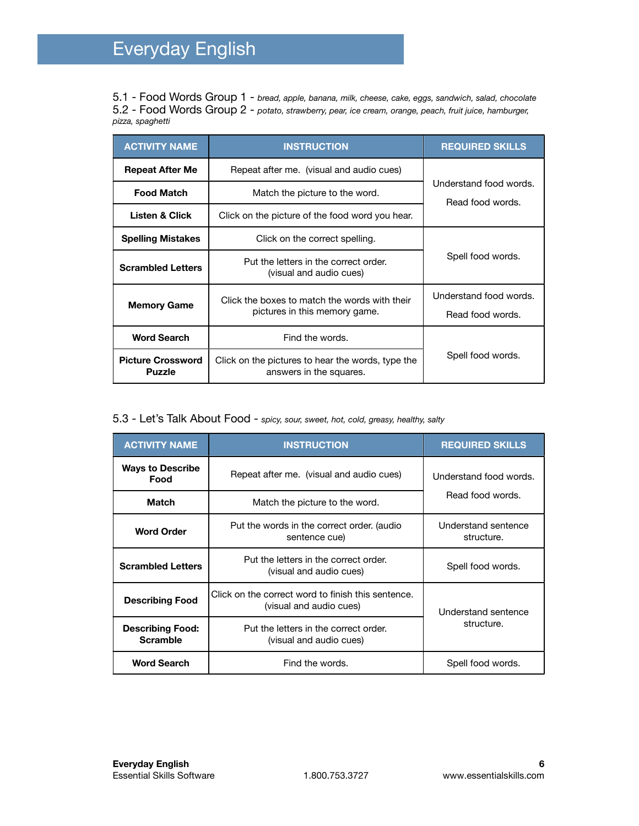5.1 - Food Words Group 1 - *bread, apple, banana, milk, cheese, cake, eggs, sandwich, salad, chocolate* 5.2 - Food Words Group 2 - *potato, strawberry, pear, ice cream, orange, peach, fruit juice, hamburger, pizza, spaghetti*

| <b>ACTIVITY NAME</b>                      | <b>INSTRUCTION</b>                                                                                   | <b>REQUIRED SKILLS</b>                     |
|-------------------------------------------|------------------------------------------------------------------------------------------------------|--------------------------------------------|
| <b>Repeat After Me</b>                    | Repeat after me. (visual and audio cues)                                                             | Understand food words.<br>Read food words. |
| <b>Food Match</b>                         | Match the picture to the word.                                                                       |                                            |
| <b>Listen &amp; Click</b>                 | Click on the picture of the food word you hear.                                                      |                                            |
| <b>Spelling Mistakes</b>                  | Click on the correct spelling.                                                                       | Spell food words.                          |
| <b>Scrambled Letters</b>                  | Put the letters in the correct order.<br>(visual and audio cues)                                     |                                            |
|                                           | Click the boxes to match the words with their<br><b>Memory Game</b><br>pictures in this memory game. | Understand food words.                     |
|                                           |                                                                                                      | Read food words.                           |
| <b>Word Search</b>                        | Find the words.                                                                                      | Spell food words.                          |
| <b>Picture Crossword</b><br><b>Puzzle</b> | Click on the pictures to hear the words, type the<br>answers in the squares.                         |                                            |

## 5.3 - Let's Talk About Food - *spicy, sour, sweet, hot, cold, greasy, healthy, salty*

| <b>ACTIVITY NAME</b>                       | <b>INSTRUCTION</b>                                                            | <b>REQUIRED SKILLS</b>            |
|--------------------------------------------|-------------------------------------------------------------------------------|-----------------------------------|
| <b>Ways to Describe</b><br>Food            | Repeat after me. (visual and audio cues)                                      | Understand food words.            |
| Match                                      | Match the picture to the word.                                                | Read food words.                  |
| <b>Word Order</b>                          | Put the words in the correct order. (audio<br>sentence cue)                   | Understand sentence<br>structure. |
| <b>Scrambled Letters</b>                   | Put the letters in the correct order.<br>(visual and audio cues)              | Spell food words.                 |
| <b>Describing Food</b>                     | Click on the correct word to finish this sentence.<br>(visual and audio cues) | Understand sentence<br>structure. |
| <b>Describing Food:</b><br><b>Scramble</b> | Put the letters in the correct order.<br>(visual and audio cues)              |                                   |
| <b>Word Search</b>                         | Find the words.                                                               | Spell food words.                 |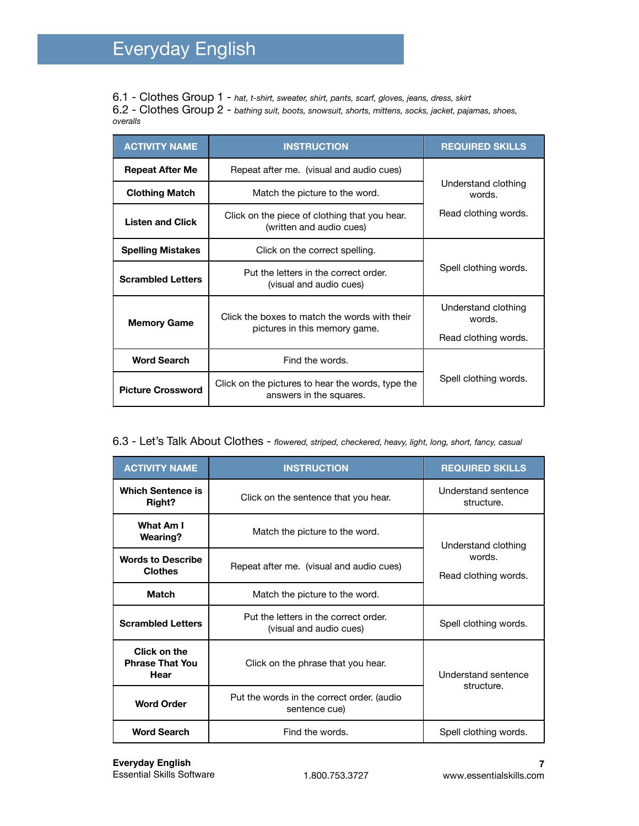6.1 - Clothes Group 1 - *hat, t-shirt, sweater, shirt, pants, scarf, gloves, jeans, dress, skirt* 6.2 - Clothes Group 2 - *bathing suit, boots, snowsuit, shorts, mittens, socks, jacket, pajamas, shoes, overalls*

| <b>ACTIVITY NAME</b>     | <b>INSTRUCTION</b>                                                                                   | <b>REQUIRED SKILLS</b>        |
|--------------------------|------------------------------------------------------------------------------------------------------|-------------------------------|
| <b>Repeat After Me</b>   | Repeat after me. (visual and audio cues)                                                             |                               |
| <b>Clothing Match</b>    | Match the picture to the word.                                                                       | Understand clothing<br>words. |
| <b>Listen and Click</b>  | Click on the piece of clothing that you hear.<br>(written and audio cues)                            | Read clothing words.          |
| <b>Spelling Mistakes</b> | Click on the correct spelling.                                                                       |                               |
| <b>Scrambled Letters</b> | Put the letters in the correct order.<br>(visual and audio cues)                                     | Spell clothing words.         |
|                          | Click the boxes to match the words with their<br><b>Memory Game</b><br>pictures in this memory game. | Understand clothing<br>words. |
|                          |                                                                                                      | Read clothing words.          |
| <b>Word Search</b>       | Find the words.                                                                                      |                               |
| <b>Picture Crossword</b> | Click on the pictures to hear the words, type the<br>answers in the squares.                         | Spell clothing words.         |

#### 6.3 - Let's Talk About Clothes - *flowered, striped, checkered, heavy, light, long, short, fancy, casual*

| <b>ACTIVITY NAME</b>                           | <b>INSTRUCTION</b>                                               | <b>REQUIRED SKILLS</b>                                |
|------------------------------------------------|------------------------------------------------------------------|-------------------------------------------------------|
| <b>Which Sentence is</b><br>Right?             | Click on the sentence that you hear.                             | Understand sentence<br>structure.                     |
| What Am I<br><b>Wearing?</b>                   | Match the picture to the word.                                   | Understand clothing<br>words.<br>Read clothing words. |
| <b>Words to Describe</b><br><b>Clothes</b>     | Repeat after me. (visual and audio cues)                         |                                                       |
| <b>Match</b>                                   | Match the picture to the word.                                   |                                                       |
| <b>Scrambled Letters</b>                       | Put the letters in the correct order.<br>(visual and audio cues) | Spell clothing words.                                 |
| Click on the<br><b>Phrase That You</b><br>Hear | Click on the phrase that you hear.                               | Understand sentence<br>structure.                     |
| <b>Word Order</b>                              | Put the words in the correct order. (audio<br>sentence cue)      |                                                       |
| <b>Word Search</b>                             | Find the words.                                                  | Spell clothing words.                                 |